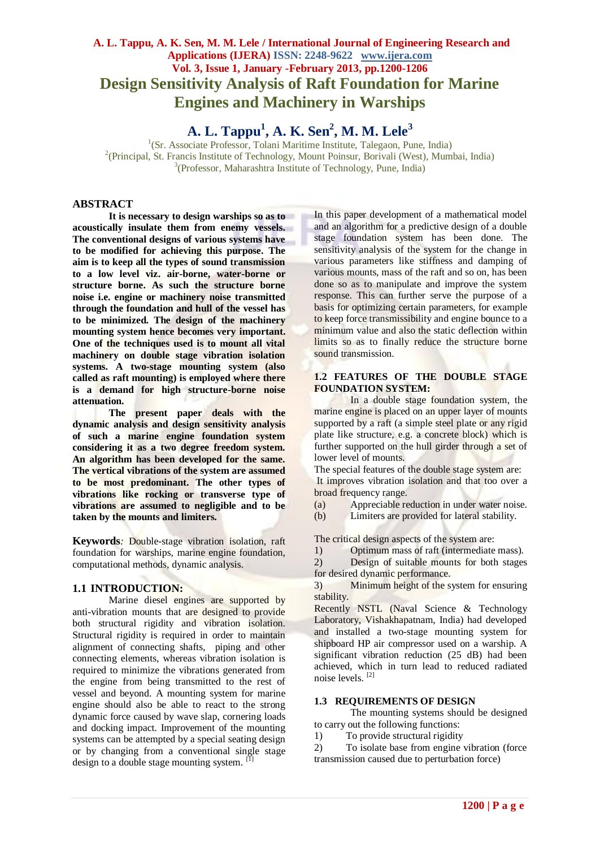# **A. L. Tappu, A. K. Sen, M. M. Lele / International Journal of Engineering Research and Applications (IJERA) ISSN: 2248-9622 www.ijera.com Vol. 3, Issue 1, January -February 2013, pp.1200-1206 Design Sensitivity Analysis of Raft Foundation for Marine Engines and Machinery in Warships**

**A. L. Tappu<sup>1</sup> , A. K. Sen<sup>2</sup> , M. M. Lele<sup>3</sup>**

<sup>1</sup>(Sr. Associate Professor, Tolani Maritime Institute, Talegaon, Pune, India) <sup>2</sup>(Principal, St. Francis Institute of Technology, Mount Poinsur, Borivali (West), Mumbai, India) 3 (Professor, Maharashtra Institute of Technology, Pune, India)

# **ABSTRACT**

**It is necessary to design warships so as to acoustically insulate them from enemy vessels. The conventional designs of various systems have to be modified for achieving this purpose. The aim is to keep all the types of sound transmission to a low level viz. air-borne, water-borne or structure borne. As such the structure borne noise i.e. engine or machinery noise transmitted through the foundation and hull of the vessel has to be minimized. The design of the machinery mounting system hence becomes very important. One of the techniques used is to mount all vital machinery on double stage vibration isolation systems. A two-stage mounting system (also called as raft mounting) is employed where there is a demand for high structure-borne noise attenuation.** 

**The present paper deals with the dynamic analysis and design sensitivity analysis of such a marine engine foundation system considering it as a two degree freedom system. An algorithm has been developed for the same. The vertical vibrations of the system are assumed to be most predominant. The other types of vibrations like rocking or transverse type of vibrations are assumed to negligible and to be taken by the mounts and limiters.** 

**Keywords***:* Double-stage vibration isolation, raft foundation for warships, marine engine foundation, computational methods, dynamic analysis.

## **1.1 INTRODUCTION:**

Marine diesel engines are supported by anti-vibration mounts that are designed to provide both structural rigidity and vibration isolation. Structural rigidity is required in order to maintain alignment of connecting shafts, piping and other connecting elements, whereas vibration isolation is required to minimize the vibrations generated from the engine from being transmitted to the rest of vessel and beyond. A mounting system for marine engine should also be able to react to the strong dynamic force caused by wave slap, cornering loads and docking impact. Improvement of the mounting systems can be attempted by a special seating design or by changing from a conventional single stage design to a double stage mounting system. [1]

In this paper development of a mathematical model and an algorithm for a predictive design of a double stage foundation system has been done. The sensitivity analysis of the system for the change in various parameters like stiffness and damping of various mounts, mass of the raft and so on, has been done so as to manipulate and improve the system response. This can further serve the purpose of a basis for optimizing certain parameters, for example to keep force transmissibility and engine bounce to a minimum value and also the static deflection within limits so as to finally reduce the structure borne sound transmission.

#### **1.2 FEATURES OF THE DOUBLE STAGE FOUNDATION SYSTEM:**

In a double stage foundation system, the marine engine is placed on an upper layer of mounts supported by a raft (a simple steel plate or any rigid plate like structure, e.g. a concrete block) which is further supported on the hull girder through a set of lower level of mounts.

The special features of the double stage system are:

It improves vibration isolation and that too over a broad frequency range.

(a) Appreciable reduction in under water noise.

(b) Limiters are provided for lateral stability.

The critical design aspects of the system are:

1) Optimum mass of raft (intermediate mass).

2) Design of suitable mounts for both stages for desired dynamic performance.

3) Minimum height of the system for ensuring stability.

Recently NSTL (Naval Science & Technology Laboratory, Vishakhapatnam, India) had developed and installed a two-stage mounting system for shipboard HP air compressor used on a warship. A significant vibration reduction (25 dB) had been achieved, which in turn lead to reduced radiated noise levels. [2]

## **1.3 REQUIREMENTS OF DESIGN**

The mounting systems should be designed to carry out the following functions:

1) To provide structural rigidity

2) To isolate base from engine vibration (force transmission caused due to perturbation force)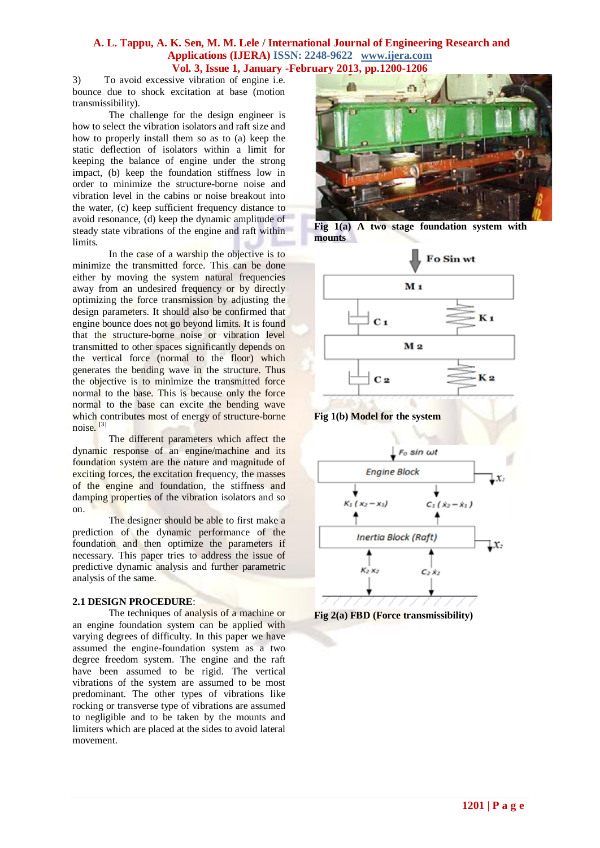3) To avoid excessive vibration of engine i.e. bounce due to shock excitation at base (motion transmissibility).

The challenge for the design engineer is how to select the vibration isolators and raft size and how to properly install them so as to (a) keep the static deflection of isolators within a limit for keeping the balance of engine under the strong impact, (b) keep the foundation stiffness low in order to minimize the structure-borne noise and vibration level in the cabins or noise breakout into the water, (c) keep sufficient frequency distance to avoid resonance, (d) keep the dynamic amplitude of steady state vibrations of the engine and raft within limits.

In the case of a warship the objective is to minimize the transmitted force. This can be done either by moving the system natural frequencies away from an undesired frequency or by directly optimizing the force transmission by adjusting the design parameters. It should also be confirmed that engine bounce does not go beyond limits. It is found that the structure-borne noise or vibration level transmitted to other spaces significantly depends on the vertical force (normal to the floor) which generates the bending wave in the structure. Thus the objective is to minimize the transmitted force normal to the base. This is because only the force normal to the base can excite the bending wave which contributes most of energy of structure-borne noise. [3]

The different parameters which affect the dynamic response of an engine/machine and its foundation system are the nature and magnitude of exciting forces, the excitation frequency, the masses of the engine and foundation, the stiffness and damping properties of the vibration isolators and so on.

The designer should be able to first make a prediction of the dynamic performance of the foundation and then optimize the parameters if necessary. This paper tries to address the issue of predictive dynamic analysis and further parametric analysis of the same.

# **2.1 DESIGN PROCEDURE**:

The techniques of analysis of a machine or an engine foundation system can be applied with varying degrees of difficulty. In this paper we have assumed the engine-foundation system as a two degree freedom system. The engine and the raft have been assumed to be rigid. The vertical vibrations of the system are assumed to be most predominant. The other types of vibrations like rocking or transverse type of vibrations are assumed to negligible and to be taken by the mounts and limiters which are placed at the sides to avoid lateral movement.



**Fig 1(a) A two stage foundation system with mounts** 



**Fig 1(b) Model for the system**



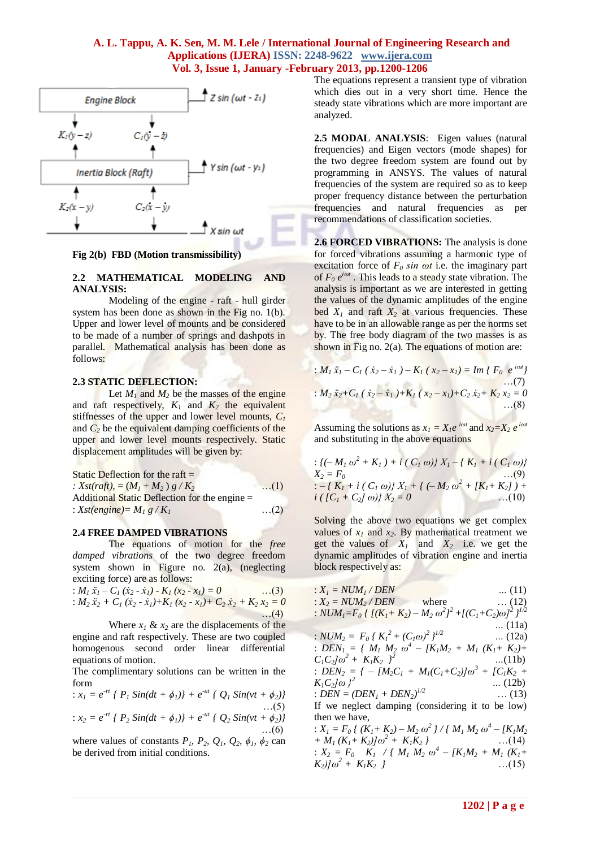

#### **Fig 2(b) FBD (Motion transmissibility)**

## **2.2 MATHEMATICAL MODELING AND ANALYSIS:**

Modeling of the engine - raft - hull girder system has been done as shown in the Fig no. 1(b). Upper and lower level of mounts and be considered to be made of a number of springs and dashpots in parallel. Mathematical analysis has been done as follows:

# **2.3 STATIC DEFLECTION:**

Let  $M_1$  and  $M_2$  be the masses of the engine and raft respectively,  $K_I$  and  $K_2$  the equivalent stiffnesses of the upper and lower level mounts, *C<sup>1</sup>* and  $C_2$  be the equivalent damping coefficients of the upper and lower level mounts respectively. Static displacement amplitudes will be given by:

| Static Deflection for the raft $=$            |            |
|-----------------------------------------------|------------|
| : $Xst(raff)$ , = $(M_1 + M_2) g/K_2$         | $\dots(1)$ |
| Additional Static Deflection for the engine = |            |
| : $Xst(engine) = M_1 g/K_1$                   | $\dots(2)$ |

#### **2.4 FREE DAMPED VIBRATIONS**

The equations of motion for the *free damped vibrations* of the two degree freedom system shown in Figure no. 2(a), (neglecting exciting force) are as follows:

$$
: M_1 \ddot{x}_1 - C_1 (\dot{x}_2 - \dot{x}_1) - K_1 (x_2 - x_1) = 0 \qquad ...(3)
$$
  
\n
$$
: M_2 \ddot{x}_2 + C_1 (\dot{x}_2 - \dot{x}_1) + K_1 (x_2 - x_1) + C_2 \dot{x}_2 + K_2 \dot{x}_2 = 0 \qquad ...(4)
$$

Where  $x_1 \& x_2$  are the displacements of the engine and raft respectively. These are two coupled homogenous second order linear differential equations of motion.

The complimentary solutions can be written in the form

$$
: x_1 = e^{-rt} \{ P_1 \sin(dt + \phi_1) \} + e^{-ut} \{ Q_1 \sin(vt + \phi_2) \} \dots (5)
$$
  
\n
$$
: x_2 = e^{-rt} \{ P_2 \sin(dt + \phi_1) \} + e^{-ut} \{ Q_2 \sin(vt + \phi_2) \} \dots (6)
$$

where values of constants  $P_1$ ,  $P_2$ ,  $Q_1$ ,  $Q_2$ ,  $\phi_1$ ,  $\phi_2$  can be derived from initial conditions.

The equations represent a transient type of vibration which dies out in a very short time. Hence the steady state vibrations which are more important are analyzed.

**2.5 MODAL ANALYSIS**: Eigen values (natural frequencies) and Eigen vectors (mode shapes) for the two degree freedom system are found out by programming in ANSYS. The values of natural frequencies of the system are required so as to keep proper frequency distance between the perturbation frequencies and natural frequencies as per recommendations of classification societies.

**2.6 FORCED VIBRATIONS:** The analysis is done for forced vibrations assuming a harmonic type of excitation force of  $F_0$  *sin*  $\omega t$  i.e. the imaginary part of *F<sup>0</sup> e iωt* . This leads to a steady state vibration. The analysis is important as we are interested in getting the values of the dynamic amplitudes of the engine bed  $X_1$  and raft  $X_2$  at various frequencies. These have to be in an allowable range as per the norms set by. The free body diagram of the two masses is as shown in Fig no. 2(a). The equations of motion are:

: 
$$
M_1 \ddot{x}_1 - C_1 (\dot{x}_2 - \dot{x}_1) - K_1 (\dot{x}_2 - \dot{x}_1) = Im \{ F_0 e^{i\omega t} \}
$$
  
\n:  $M_2 \ddot{x}_2 + C_1 (\dot{x}_2 - \dot{x}_1) + K_1 (\dot{x}_2 - \dot{x}_1) + C_2 \dot{x}_2 + K_2 \dot{x}_2 = 0$   
\n...(8)

Assuming the solutions as  $x_1 = X_1e^{i\omega t}$  and  $x_2 = X_2e^{i\omega t}$ *iωt* and substituting in the above equations

$$
: \{(-M_1 \omega^2 + K_1) + i (C_1 \omega)\} X_1 - \{K_1 + i (C_1 \omega)\} X_2 = F_0 \dots (9)
$$
  
\n
$$
: -\{K_1 + i (C_1 \omega)\} X_1 + \{(-M_2 \omega^2 + [K_1 + K_2]) + i ([C_1 + C_2] \omega)\} X_2 = 0
$$
  
\n
$$
...(10)
$$

Solving the above two equations we get complex values of  $x_1$  and  $x_2$ . By mathematical treatment we get the values of  $X_1$  and  $X_2$  i.e. we get the dynamic amplitudes of vibration engine and inertia block respectively as:

: *X<sup>1</sup> = NUM<sup>1</sup> / DEN …* (11) : *X<sup>2</sup> = NUM<sup>2</sup> / DEN* where … (12) : *NUM1=F<sup>0</sup> { [(K1+ K2) – M<sup>2</sup> ω 2 ] <sup>2</sup>+[(C1+C2)ω]<sup>2</sup>} 1/2 …* (11a) : *NUM<sup>2</sup> = F<sup>0</sup> { K<sup>1</sup> <sup>2</sup>+ (C1ω)<sup>2</sup>} 1/2 …* (12a) : *DEN<sup>1</sup> = { M<sup>1</sup> M<sup>2</sup> ω 4 – [K1M<sup>2</sup> + M<sup>1</sup> (K1+ K2)+ C1C2]ω<sup>2</sup> + K1K2 } 2 …*(11b) : *DEN<sup>2</sup> = { – [M2C<sup>1</sup> + M1(C1+C2)]ω<sup>3</sup>+ [C1K<sup>2</sup> + K1C2]ω }<sup>2</sup>…* (12b) : *DEN = (DEN<sup>1</sup> + DEN2) 1/2* … (13) If we neglect damping (considering it to be low) then we have, : *X<sup>1</sup> = F<sup>0</sup> { (K1+ K2) – M<sup>2</sup> ω 2 } / { M<sup>1</sup> M<sup>2</sup> ω 4 – [K1M<sup>2</sup> + M<sup>1</sup> (K1+ K2)]ω<sup>2</sup> + K1K<sup>2</sup> }* …(14) : *X<sup>2</sup> = F0 K1 / { M<sup>1</sup> M<sup>2</sup> ω 4 – [K1M<sup>2</sup> + M<sup>1</sup> (K1+ K2)]ω<sup>2</sup> + K1K2 }* …(15)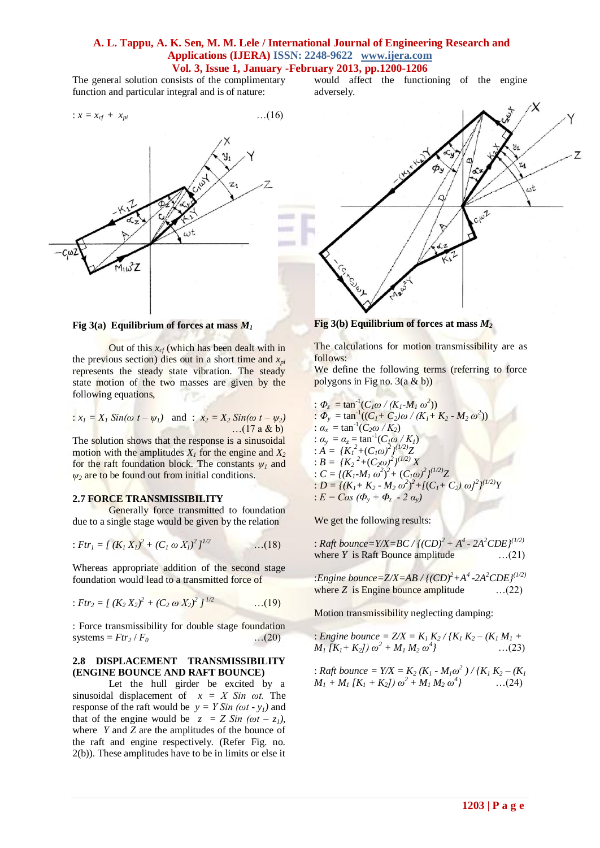The general solution consists of the complimentary function and particular integral and is of nature:

$$
\therefore x = x_{cf} + x_{pi} \tag{16}
$$



**Fig 3(a) Equilibrium of forces at mass** *M<sup>1</sup>*

Out of this  $x_{cf}$  (which has been dealt with in the previous section) dies out in a short time and  $x_{pi}$ represents the steady state vibration. The steady state motion of the two masses are given by the following equations,

:  $x_1 = X_1 \sin(\omega t - \psi_1)$  and :  $x_2 = X_2 \sin(\omega t - \psi_2)$  $...$ (17 a & b)

The solution shows that the response is a sinusoidal motion with the amplitudes  $X<sub>1</sub>$  for the engine and  $X<sub>2</sub>$ for the raft foundation block. The constants  $\psi_l$  and  $\psi_2$  are to be found out from initial conditions.

#### **2.7 FORCE TRANSMISSIBILITY**

Generally force transmitted to foundation due to a single stage would be given by the relation

: 
$$
Ftr_1 = \int (K_1 X_1)^2 + (C_1 \omega X_1)^2 I^{1/2}
$$
 ...(18)

Whereas appropriate addition of the second stage foundation would lead to a transmitted force of

: 
$$
Ftr_2 = \int (K_2 X_2)^2 + (C_2 \omega X_2)^2 I^{1/2}
$$
 ...(19)

: Force transmissibility for double stage foundation systems =  $Ftr_2 / F_0$  ...(20)

#### **2.8 DISPLACEMENT TRANSMISSIBILITY (ENGINE BOUNCE AND RAFT BOUNCE)**

Let the hull girder be excited by a sinusoidal displacement of *x = X Sin ωt.* The response of the raft would be  $y = Y Sin(\omega t - y_i)$  and that of the engine would be  $z = Z \sin(\omega t - z_1)$ , where *Y* and *Z* are the amplitudes of the bounce of the raft and engine respectively. (Refer Fig. no. 2(b)). These amplitudes have to be in limits or else it would affect the functioning of the engine adversely.



**Fig 3(b) Equilibrium of forces at mass** *M<sup>2</sup>*

The calculations for motion transmissibility are as follows:

We define the following terms (referring to force polygons in Fig no.  $3(a \& b)$ )

: 
$$
\Phi_z = \tan^{-1}(C_I\omega / (K_I - M_I \omega^2))
$$
  
\n:  $\Phi_y = \tan^{-1}((C_I + C_2)\omega / (K_I + K_2 - M_2 \omega^2))$   
\n:  $\alpha_x = \tan^{-1}(C_2\omega / K_2)$   
\n:  $\alpha_y = \alpha_z = \tan^{-1}(C_I\omega / K_I)$   
\n:  $A = \{K_I^2 + (C_I\omega)^2\}^{(1/2)}X$   
\n:  $B = \{K_2^2 + (C_2\omega)^2\}^{(1/2)}X$   
\n:  $C = \{(K_I - M_I \omega^2)^2 + (C_I\omega)^2\}^{(1/2)}Z$   
\n:  $D = \{(K_I + K_2 - M_2 \omega^2)^2 + [(C_I + C_2) \omega]^2\}^{(1/2)}Y$   
\n:  $E = Cos (\Phi_y + \Phi_z - 2 \alpha_y)$ 

We get the following results:

of Char

: *Raft bounce*=*Y/X*=*BC* /  $\{ (CD)^2 + A^4 - 2A^2 CDE \}^{(1/2)}$ where *Y* is Raft Bounce amplitude ...(21)

:*Engine bounce=Z/X=AB / {(CD)<sup>2</sup>+A 4 -2A<sup>2</sup>CDE}(1/2)* where  $Z$  is Engine bounce amplitude  $\ldots$  (22)

Motion transmissibility neglecting damping:

: *Engine bounce* =  $Z/X = K_1 K_2 / (K_1 K_2 - (K_1 M_1 +$  $M_1$   $[K_1 + K_2]$ )  $\omega^2 + M_1 M_2 \omega^4$ *}* …(23)

: *Right bounce* = 
$$
Y/X
$$
 =  $K_2(K_1 - M_1\omega^2) / {K_1 K_2 - (K_1 M_1 + M_1 [K_1 + K_2]) \omega^2 + M_1 M_2 \omega^4}$  ...(24)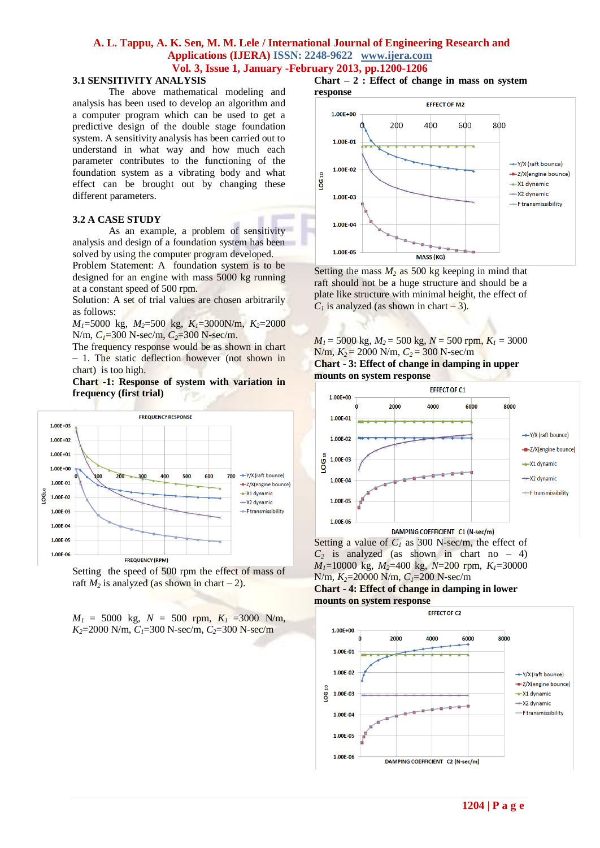#### **3.1 SENSITIVITY ANALYSIS**

The above mathematical modeling and analysis has been used to develop an algorithm and a computer program which can be used to get a predictive design of the double stage foundation system. A sensitivity analysis has been carried out to understand in what way and how much each parameter contributes to the functioning of the foundation system as a vibrating body and what effect can be brought out by changing these different parameters.

#### **3.2 A CASE STUDY**

As an example, a problem of sensitivity analysis and design of a foundation system has been solved by using the computer program developed.

Problem Statement: A foundation system is to be designed for an engine with mass 5000 kg running at a constant speed of 500 rpm.

Solution: A set of trial values are chosen arbitrarily as follows:

*M1*=5000 kg, *M2*=500 kg, *K1*=3000N/m, *K2*=2000 N/m, *C1*=300 N-sec/m, *C2*=300 N-sec/m.

The frequency response would be as shown in chart – 1. The static deflection however (not shown in chart) is too high.

**Chart -1: Response of system with variation in frequency (first trial)**



Setting the speed of 500 rpm the effect of mass of raft  $M_2$  is analyzed (as shown in chart – 2).

 $M_1 = 5000$  kg,  $N = 500$  rpm,  $K_1 = 3000$  N/m, *K2*=2000 N/m, *C1*=300 N-sec/m, *C2*=300 N-sec/m

**Chart – 2 : Effect of change in mass on system response**



Setting the mass  $M_2$  as 500 kg keeping in mind that raft should not be a huge structure and should be a plate like structure with minimal height, the effect of  $C<sub>1</sub>$  is analyzed (as shown in chart – 3).

 $M_1 = 5000$  kg,  $M_2 = 500$  kg,  $N = 500$  rpm,  $K_1 = 3000$ N/m, *K2* = 2000 N/m, *C2* = 300 N-sec/m **Chart - 3: Effect of change in damping in upper** 





Setting a value of  $C_1$  as 300 N-sec/m, the effect of  $C_2$  is analyzed (as shown in chart no – 4) *M1*=10000 kg, *M2*=400 kg, *N*=200 rpm, *K1*=30000 N/m, *K2*=20000 N/m, *C1*=200 N-sec/m

**Chart - 4: Effect of change in damping in lower mounts on system response**

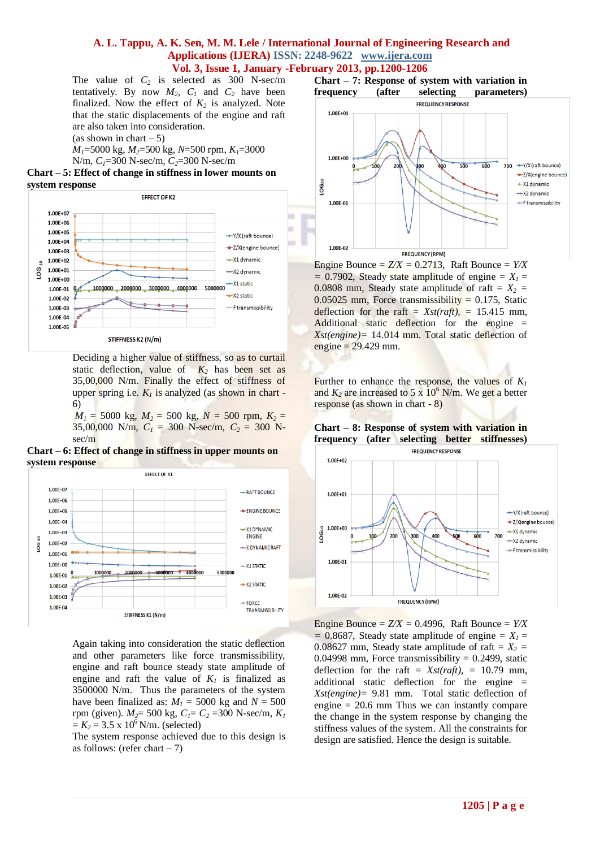The value of  $C_2$  is selected as 300 N-sec/m tentatively. By now  $M_2$ ,  $C_1$  and  $C_2$  have been finalized. Now the effect of  $K_2$  is analyzed. Note that the static displacements of the engine and raft are also taken into consideration.

(as shown in chart  $-5$ )

*M1*=5000 kg, *M2*=500 kg, *N*=500 rpm, *K1*=3000 N/m, *C1*=300 N-sec/m, *C2*=300 N-sec/m

**Chart – 5: Effect of change in stiffness in lower mounts on system response**



Deciding a higher value of stiffness, so as to curtail static deflection, value of  $K_2$  has been set as 35,00,000 N/m. Finally the effect of stiffness of upper spring i.e.  $K_l$  is analyzed (as shown in chart -6)

 $M_1$  = 5000 kg,  $M_2$  = 500 kg,  $N$  = 500 rpm,  $K_2$  = 35,00,000 N/m,  $C_1 = 300$  N-sec/m,  $C_2 = 300$  Nsec/m





Again taking into consideration the static deflection and other parameters like force transmissibility, engine and raft bounce steady state amplitude of engine and raft the value of  $K_I$  is finalized as 3500000 N/m. Thus the parameters of the system have been finalized as:  $M<sub>1</sub> = 5000$  kg and  $N = 500$ rpm (given). *M2*= 500 kg, *C1*= *C<sup>2</sup>* =300 N-sec/m, *K<sup>1</sup>*  $= K_2 = 3.5 \times 10^6$  N/m. (selected)

The system response achieved due to this design is as follows: (refer chart  $-7$ )



Engine Bounce =  $Z/X = 0.2713$ , Raft Bounce =  $Y/X$  $= 0.7902$ , Steady state amplitude of engine  $= X<sub>1</sub> =$ 0.0808 mm, Steady state amplitude of raft  $= X_2 = 0.0808$  $0.05025$  mm, Force transmissibility = 0.175, Static deflection for the raft =  $Xst(raff)$ , = 15.415 mm, Additional static deflection for the engine = *Xst(engine)=* 14.014 mm. Total static deflection of engine  $= 29.429$  mm.

Further to enhance the response, the values of  $K_I$ and  $K_2$  are increased to 5 x 10<sup>6</sup> N/m. We get a better response (as shown in chart - 8)

**Chart – 8: Response of system with variation in frequency (after selecting better stiffnesses)**



Engine Bounce =  $Z/X = 0.4996$ , Raft Bounce =  $Y/X$  $= 0.8687$ , Steady state amplitude of engine  $= X<sub>1</sub> =$ 0.08627 mm, Steady state amplitude of raft =  $X_2$  = 0.04998 mm, Force transmissibility =  $0.2499$ , static deflection for the raft =  $Xst(raff)$ , = 10.79 mm, additional static deflection for the engine = *Xst(engine)=* 9.81 mm. Total static deflection of engine  $= 20.6$  mm Thus we can instantly compare the change in the system response by changing the stiffness values of the system. All the constraints for design are satisfied. Hence the design is suitable.